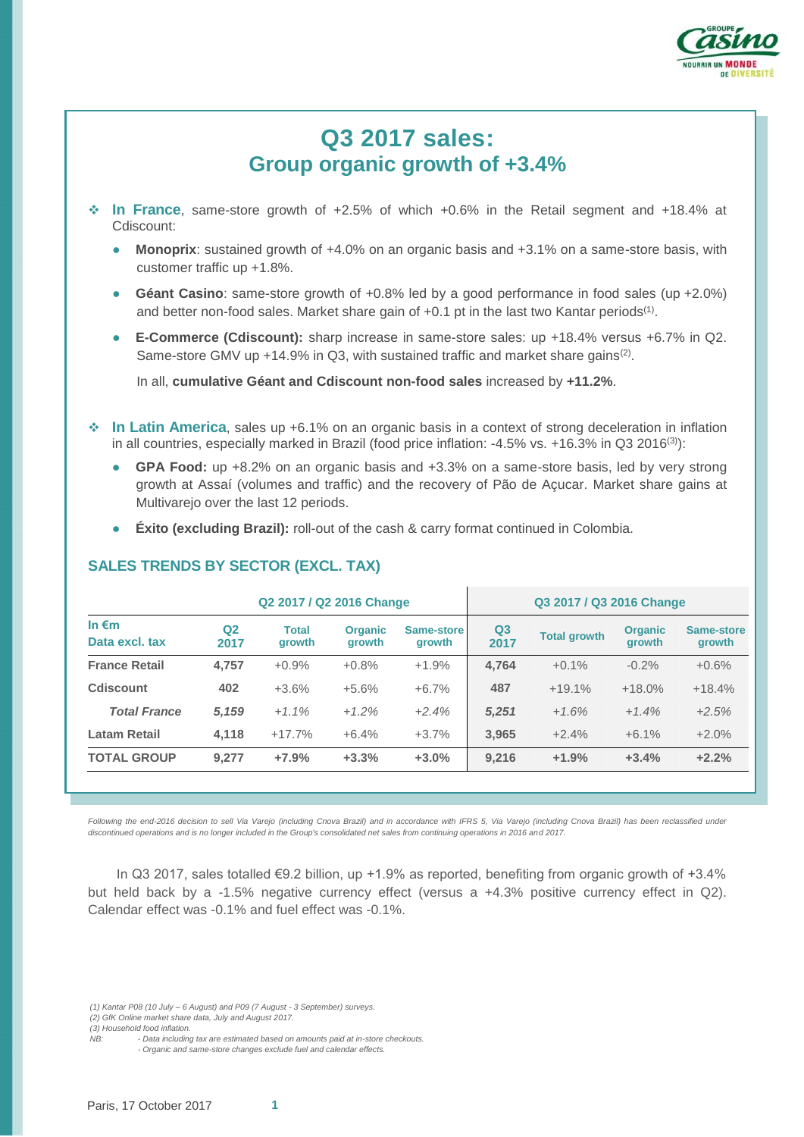

# **Q3 2017 sales: Group organic growth of +3.4%**

- **In France**, same-store growth of +2.5% of which +0.6% in the Retail segment and +18.4% at Cdiscount:
	- **Monoprix**: sustained growth of +4.0% on an organic basis and +3.1% on a same-store basis, with customer traffic up +1.8%.
	- **Géant Casino**: same-store growth of +0.8% led by a good performance in food sales (up +2.0%) and better non-food sales. Market share gain of  $+0.1$  pt in the last two Kantar periods<sup>(1)</sup>.
	- **E-Commerce (Cdiscount):** sharp increase in same-store sales: up +18.4% versus +6.7% in Q2. Same-store GMV up +14.9% in Q3, with sustained traffic and market share gains<sup>(2)</sup>.

In all, **cumulative Géant and Cdiscount non-food sales** increased by **+11.2%**.

- **In Latin America**, sales up +6.1% on an organic basis in a context of strong deceleration in inflation in all countries, especially marked in Brazil (food price inflation: -4.5% vs. +16.3% in Q3 2016(3)):
	- GPA Food: up +8.2% on an organic basis and +3.3% on a same-store basis, led by very strong growth at Assaí (volumes and traffic) and the recovery of Pão de Açucar. Market share gains at Multivarejo over the last 12 periods.
	- **Éxito (excluding Brazil):** roll-out of the cash & carry format continued in Colombia.

## **SALES TRENDS BY SECTOR (EXCL. TAX)**

|                                   | Q2 2017 / Q2 2016 Change |                               |                          |                      | Q3 2017 / Q3 2016 Change |                     |                                 |                      |
|-----------------------------------|--------------------------|-------------------------------|--------------------------|----------------------|--------------------------|---------------------|---------------------------------|----------------------|
| In $\epsilon$ m<br>Data excl. tax | Q <sub>2</sub><br>2017   | <b>Total</b><br><b>arowth</b> | <b>Organic</b><br>growth | Same-store<br>growth | Q <sub>3</sub><br>2017   | <b>Total growth</b> | <b>Organic</b><br><b>arowth</b> | Same-store<br>growth |
| <b>France Retail</b>              | 4,757                    | $+0.9%$                       | $+0.8%$                  | $+1.9%$              | 4,764                    | $+0.1%$             | $-0.2%$                         | $+0.6%$              |
| Cdiscount                         | 402                      | $+3.6%$                       | $+5.6%$                  | $+6.7%$              | 487                      | $+19.1%$            | $+18.0%$                        | $+18.4%$             |
| <b>Total France</b>               | 5,159                    | $+1.1\%$                      | $+1.2%$                  | $+2.4%$              | 5,251                    | $+1.6%$             | $+1.4%$                         | $+2.5%$              |
| <b>Latam Retail</b>               | 4.118                    | $+17.7%$                      | $+6.4%$                  | $+3.7%$              | 3.965                    | $+2.4%$             | $+6.1%$                         | $+2.0%$              |
| <b>TOTAL GROUP</b>                | 9.277                    | $+7.9%$                       | $+3.3%$                  | $+3.0%$              | 9,216                    | $+1.9%$             | $+3.4%$                         | $+2.2%$              |
|                                   |                          |                               |                          |                      |                          |                     |                                 |                      |

Following the end-2016 decision to sell Via Varejo (including Cnova Brazil) and in accordance with IFRS 5, Via Varejo (including Cnova Brazil) has been reclassified under *discontinued operations and is no longer included in the Group's consolidated net sales from continuing operations in 2016 and 2017.*

In Q3 2017, sales totalled €9.2 billion, up +1.9% as reported, benefiting from organic growth of +3.4% but held back by a -1.5% negative currency effect (versus a +4.3% positive currency effect in Q2). Calendar effect was -0.1% and fuel effect was -0.1%.

*(1) Kantar P08 (10 July – 6 August) and P09 (7 August - 3 September) surveys.* 

*(2) GfK Online market share data, July and August 2017.*

*<sup>(3)</sup> Household food inflation.*

*NB: - Data including tax are estimated based on amounts paid at in-store checkouts. - Organic and same-store changes exclude fuel and calendar effects.*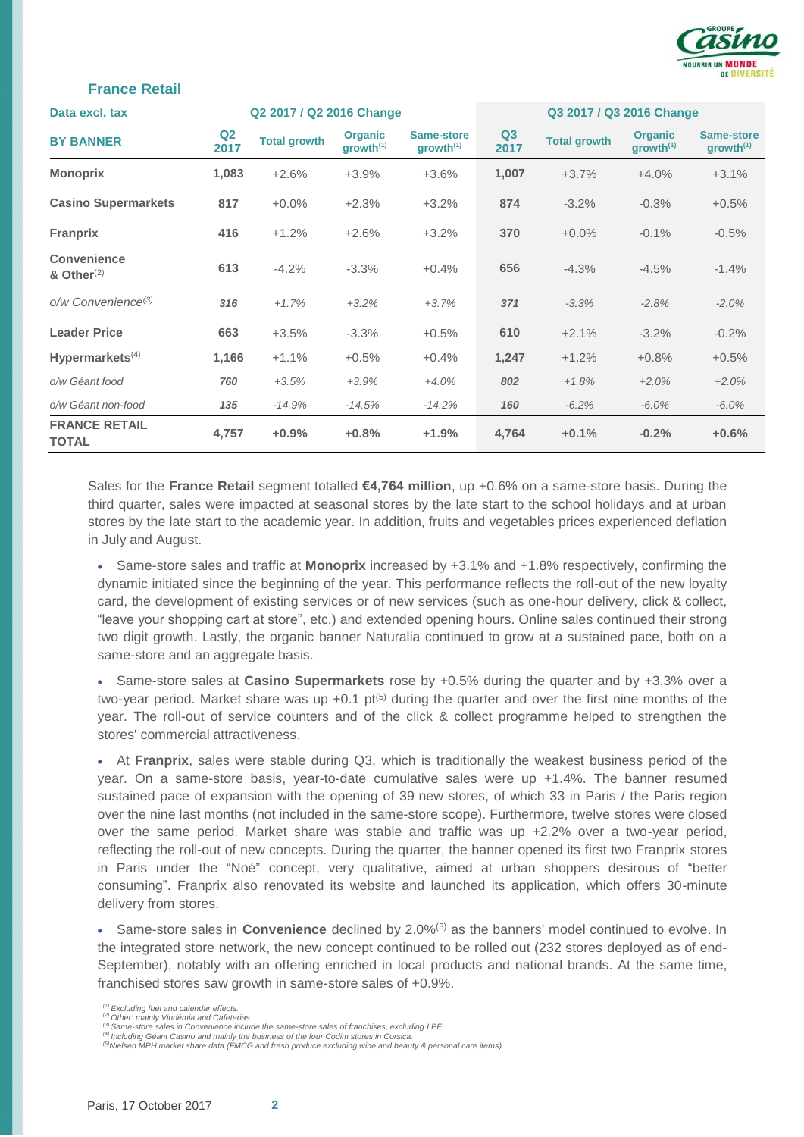

#### **France Retail**

| Q2 2017 / Q2 2016 Change<br>Data excl. tax |                        |                     |                                         | Q3 2017 / Q3 2016 Change            |                        |                     |                                         |                                     |
|--------------------------------------------|------------------------|---------------------|-----------------------------------------|-------------------------------------|------------------------|---------------------|-----------------------------------------|-------------------------------------|
| <b>BY BANNER</b>                           | Q <sub>2</sub><br>2017 | <b>Total growth</b> | <b>Organic</b><br>growth <sup>(1)</sup> | Same-store<br>growth <sup>(1)</sup> | Q <sub>3</sub><br>2017 | <b>Total growth</b> | <b>Organic</b><br>growth <sup>(1)</sup> | Same-store<br>growth <sup>(1)</sup> |
| <b>Monoprix</b>                            | 1,083                  | $+2.6%$             | $+3.9%$                                 | $+3.6%$                             | 1,007                  | $+3.7%$             | $+4.0%$                                 | $+3.1%$                             |
| <b>Casino Supermarkets</b>                 | 817                    | $+0.0%$             | $+2.3%$                                 | $+3.2%$                             | 874                    | $-3.2%$             | $-0.3%$                                 | $+0.5%$                             |
| <b>Franprix</b>                            | 416                    | $+1.2%$             | $+2.6%$                                 | $+3.2%$                             | 370                    | $+0.0%$             | $-0.1%$                                 | $-0.5%$                             |
| Convenience<br>& Other $(2)$               | 613                    | $-4.2%$             | $-3.3%$                                 | $+0.4%$                             | 656                    | $-4.3%$             | $-4.5%$                                 | $-1.4%$                             |
| $o/w$ Convenience <sup>(3)</sup>           | 316                    | $+1.7%$             | $+3.2%$                                 | $+3.7%$                             | 371                    | $-3.3%$             | $-2.8%$                                 | $-2.0%$                             |
| <b>Leader Price</b>                        | 663                    | $+3.5%$             | $-3.3%$                                 | $+0.5%$                             | 610                    | $+2.1%$             | $-3.2%$                                 | $-0.2%$                             |
| Hypermarkets $(4)$                         | 1,166                  | $+1.1%$             | $+0.5%$                                 | $+0.4%$                             | 1,247                  | $+1.2%$             | $+0.8%$                                 | $+0.5%$                             |
| o/w Géant food                             | 760                    | $+3.5%$             | $+3.9%$                                 | $+4.0%$                             | 802                    | $+1.8%$             | $+2.0%$                                 | $+2.0%$                             |
| o/w Géant non-food                         | 135                    | $-14.9%$            | $-14.5%$                                | $-14.2%$                            | 160                    | $-6.2%$             | $-6.0\%$                                | $-6.0%$                             |
| <b>FRANCE RETAIL</b><br><b>TOTAL</b>       | 4,757                  | $+0.9%$             | $+0.8%$                                 | $+1.9%$                             | 4,764                  | $+0.1%$             | $-0.2%$                                 | $+0.6%$                             |

Sales for the **France Retail** segment totalled **€4,764 million**, up +0.6% on a same-store basis. During the third quarter, sales were impacted at seasonal stores by the late start to the school holidays and at urban stores by the late start to the academic year. In addition, fruits and vegetables prices experienced deflation in July and August.

 Same-store sales and traffic at **Monoprix** increased by +3.1% and +1.8% respectively, confirming the dynamic initiated since the beginning of the year. This performance reflects the roll-out of the new loyalty card, the development of existing services or of new services (such as one-hour delivery, click & collect, "leave your shopping cart at store", etc.) and extended opening hours. Online sales continued their strong two digit growth. Lastly, the organic banner Naturalia continued to grow at a sustained pace, both on a same-store and an aggregate basis.

 Same-store sales at **Casino Supermarkets** rose by +0.5% during the quarter and by +3.3% over a two-year period. Market share was up  $+0.1$  pt<sup>(5)</sup> during the quarter and over the first nine months of the year. The roll-out of service counters and of the click & collect programme helped to strengthen the stores' commercial attractiveness.

 At **Franprix**, sales were stable during Q3, which is traditionally the weakest business period of the year. On a same-store basis, year-to-date cumulative sales were up +1.4%. The banner resumed sustained pace of expansion with the opening of 39 new stores, of which 33 in Paris / the Paris region over the nine last months (not included in the same-store scope). Furthermore, twelve stores were closed over the same period. Market share was stable and traffic was up +2.2% over a two-year period, reflecting the roll-out of new concepts. During the quarter, the banner opened its first two Franprix stores in Paris under the "Noé" concept, very qualitative, aimed at urban shoppers desirous of "better consuming". Franprix also renovated its website and launched its application, which offers 30-minute delivery from stores.

 Same-store sales in **Convenience** declined by 2.0%(3) as the banners' model continued to evolve. In the integrated store network, the new concept continued to be rolled out (232 stores deployed as of end-September), notably with an offering enriched in local products and national brands. At the same time, franchised stores saw growth in same-store sales of +0.9%.

*(1) Excluding fuel and calendar effects. (2) Other: mainly Vindémia and Cafeterias.*

*<sup>(3)</sup> Same-store sales in Convenience include the same-store sales of franchises, excluding LPE.*

*<sup>(4)</sup> Including Géant Casino and mainly the business of the four Codim stores in Corsica.*

*<sup>(5)</sup>Nielsen MPH market share data (FMCG and fresh produce excluding wine and beauty & personal care items).*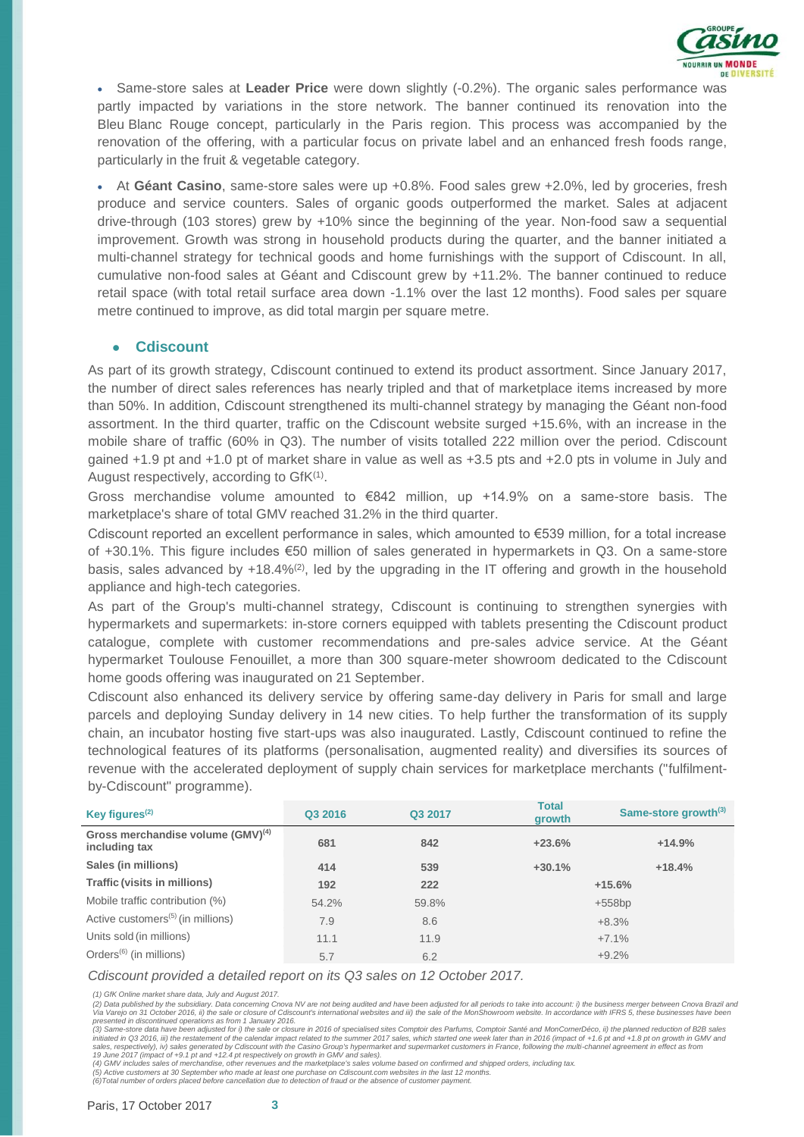

 Same-store sales at **Leader Price** were down slightly (-0.2%). The organic sales performance was partly impacted by variations in the store network. The banner continued its renovation into the Bleu Blanc Rouge concept, particularly in the Paris region. This process was accompanied by the renovation of the offering, with a particular focus on private label and an enhanced fresh foods range, particularly in the fruit & vegetable category.

 At **Géant Casino**, same-store sales were up +0.8%. Food sales grew +2.0%, led by groceries, fresh produce and service counters. Sales of organic goods outperformed the market. Sales at adjacent drive-through (103 stores) grew by +10% since the beginning of the year. Non-food saw a sequential improvement. Growth was strong in household products during the quarter, and the banner initiated a multi-channel strategy for technical goods and home furnishings with the support of Cdiscount. In all, cumulative non-food sales at Géant and Cdiscount grew by +11.2%. The banner continued to reduce retail space (with total retail surface area down -1.1% over the last 12 months). Food sales per square metre continued to improve, as did total margin per square metre.

#### ● **Cdiscount**

As part of its growth strategy, Cdiscount continued to extend its product assortment. Since January 2017, the number of direct sales references has nearly tripled and that of marketplace items increased by more than 50%. In addition, Cdiscount strengthened its multi-channel strategy by managing the Géant non-food assortment. In the third quarter, traffic on the Cdiscount website surged +15.6%, with an increase in the mobile share of traffic (60% in Q3). The number of visits totalled 222 million over the period. Cdiscount gained +1.9 pt and +1.0 pt of market share in value as well as +3.5 pts and +2.0 pts in volume in July and August respectively, according to GfK<sup>(1)</sup>.

Gross merchandise volume amounted to €842 million, up +14.9% on a same-store basis. The marketplace's share of total GMV reached 31.2% in the third quarter.

Cdiscount reported an excellent performance in sales, which amounted to €539 million, for a total increase of +30.1%. This figure includes €50 million of sales generated in hypermarkets in Q3. On a same-store basis, sales advanced by  $+18.4\%/2$ , led by the upgrading in the IT offering and growth in the household appliance and high-tech categories.

As part of the Group's multi-channel strategy, Cdiscount is continuing to strengthen synergies with hypermarkets and supermarkets: in-store corners equipped with tablets presenting the Cdiscount product catalogue, complete with customer recommendations and pre-sales advice service. At the Géant hypermarket Toulouse Fenouillet, a more than 300 square-meter showroom dedicated to the Cdiscount home goods offering was inaugurated on 21 September.

Cdiscount also enhanced its delivery service by offering same-day delivery in Paris for small and large parcels and deploying Sunday delivery in 14 new cities. To help further the transformation of its supply chain, an incubator hosting five start-ups was also inaugurated. Lastly, Cdiscount continued to refine the technological features of its platforms (personalisation, augmented reality) and diversifies its sources of revenue with the accelerated deployment of supply chain services for marketplace merchants ("fulfilmentby-Cdiscount" programme).

| Key figures <sup>(2)</sup>                              | Q3 2016 | Q3 2017 | <b>Total</b><br>growth | Same-store growth <sup>(3)</sup> |
|---------------------------------------------------------|---------|---------|------------------------|----------------------------------|
| Gross merchandise volume $(GMV)^{(4)}$<br>including tax | 681     | 842     | $+23.6%$               | $+14.9%$                         |
| Sales (in millions)                                     | 414     | 539     | $+30.1%$               | $+18.4%$                         |
| <b>Traffic (visits in millions)</b>                     | 192     | 222     |                        | $+15.6%$                         |
| Mobile traffic contribution (%)                         | 54.2%   | 59.8%   |                        | $+558bp$                         |
| Active customers <sup>(5)</sup> (in millions)           | 7.9     | 8.6     |                        | $+8.3%$                          |
| Units sold (in millions)                                | 11.1    | 11.9    |                        | $+7.1%$                          |
| Orders <sup><math>(6)</math></sup> (in millions)        | 5.7     | 6.2     |                        | $+9.2%$                          |

*Cdiscount provided a detailed report on its Q3 sales on 12 October 2017.*

*(1) GfK Online market share data, July and August 2017.*

(2) Data published by the subsidiary. Data concerning Cnova NV are not being audited and have been adjusted for all periods to take into account: i) the business merger between Cnova Brazil and<br>Via Varejo on 31 October 201 *presented in discontinued operations as from 1 January 2016.*

(3) Same-store data have been adjusted for i) the sale or closure in 2016 of specialised sites Comptoir des Parfums, Comptoir Santé and MonComerDéco, ii) the planned reduction of B2B sales<br>initiated in Q3 2016, iii) the re

19 June 2017 (impact of +9.1 pt and +12.4 pt respectively on growth in GMV and sales).<br>(4) GMV includes sales of merchandise, other revenues and the marketplace's sales volume based on confirmed and shipped orders, includi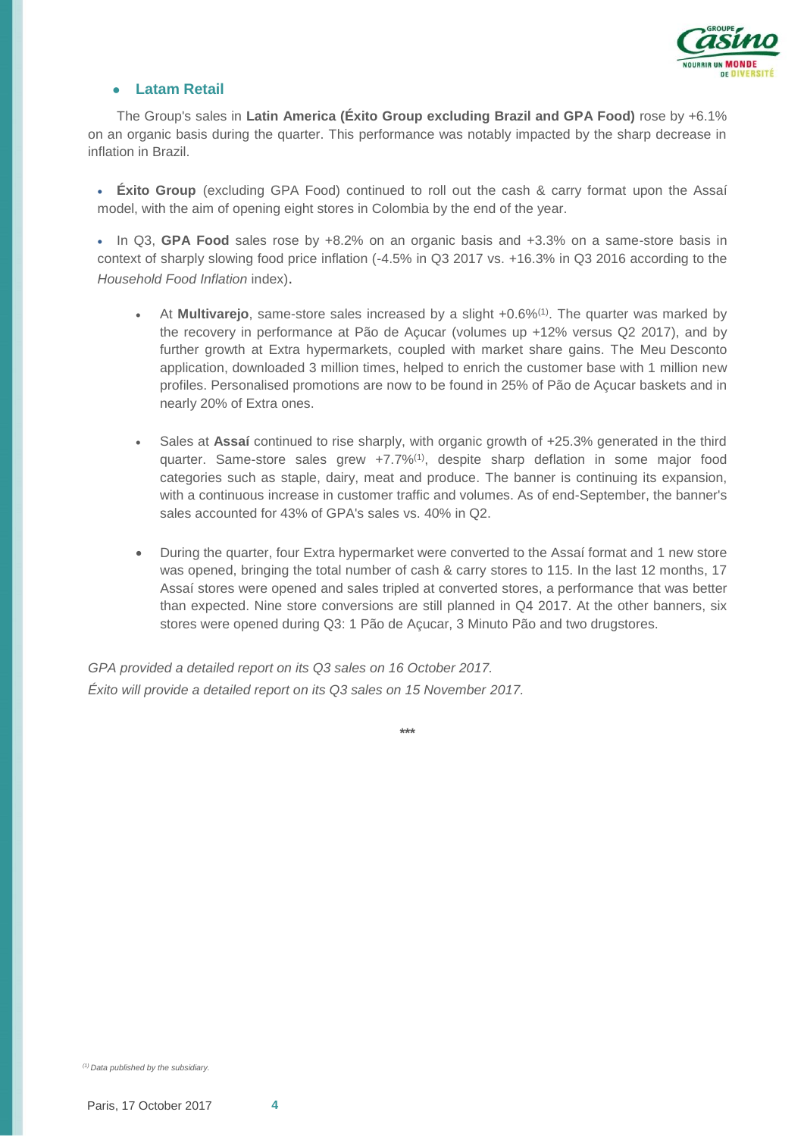

#### ● **Latam Retail**

The Group's sales in **Latin America (Éxito Group excluding Brazil and GPA Food)** rose by +6.1% on an organic basis during the quarter. This performance was notably impacted by the sharp decrease in inflation in Brazil.

 **Éxito Group** (excluding GPA Food) continued to roll out the cash & carry format upon the Assaí model, with the aim of opening eight stores in Colombia by the end of the year.

 In Q3, **GPA Food** sales rose by +8.2% on an organic basis and +3.3% on a same-store basis in context of sharply slowing food price inflation (-4.5% in Q3 2017 vs. +16.3% in Q3 2016 according to the *Household Food Inflation* index).

- At **Multivarejo**, same-store sales increased by a slight +0.6%(1). The quarter was marked by the recovery in performance at Pão de Açucar (volumes up +12% versus Q2 2017), and by further growth at Extra hypermarkets, coupled with market share gains. The Meu Desconto application, downloaded 3 million times, helped to enrich the customer base with 1 million new profiles. Personalised promotions are now to be found in 25% of Pão de Açucar baskets and in nearly 20% of Extra ones.
- Sales at **Assaí** continued to rise sharply, with organic growth of +25.3% generated in the third quarter. Same-store sales grew +7.7%<sup>(1)</sup>, despite sharp deflation in some major food categories such as staple, dairy, meat and produce. The banner is continuing its expansion, with a continuous increase in customer traffic and volumes. As of end-September, the banner's sales accounted for 43% of GPA's sales vs. 40% in Q2.
- During the quarter, four Extra hypermarket were converted to the Assaí format and 1 new store was opened, bringing the total number of cash & carry stores to 115. In the last 12 months, 17 Assaí stores were opened and sales tripled at converted stores, a performance that was better than expected. Nine store conversions are still planned in Q4 2017. At the other banners, six stores were opened during Q3: 1 Pão de Açucar, 3 Minuto Pão and two drugstores.

*GPA provided a detailed report on its Q3 sales on 16 October 2017. Éxito will provide a detailed report on its Q3 sales on 15 November 2017.*

**\*\*\***

*(1) Data published by the subsidiary.*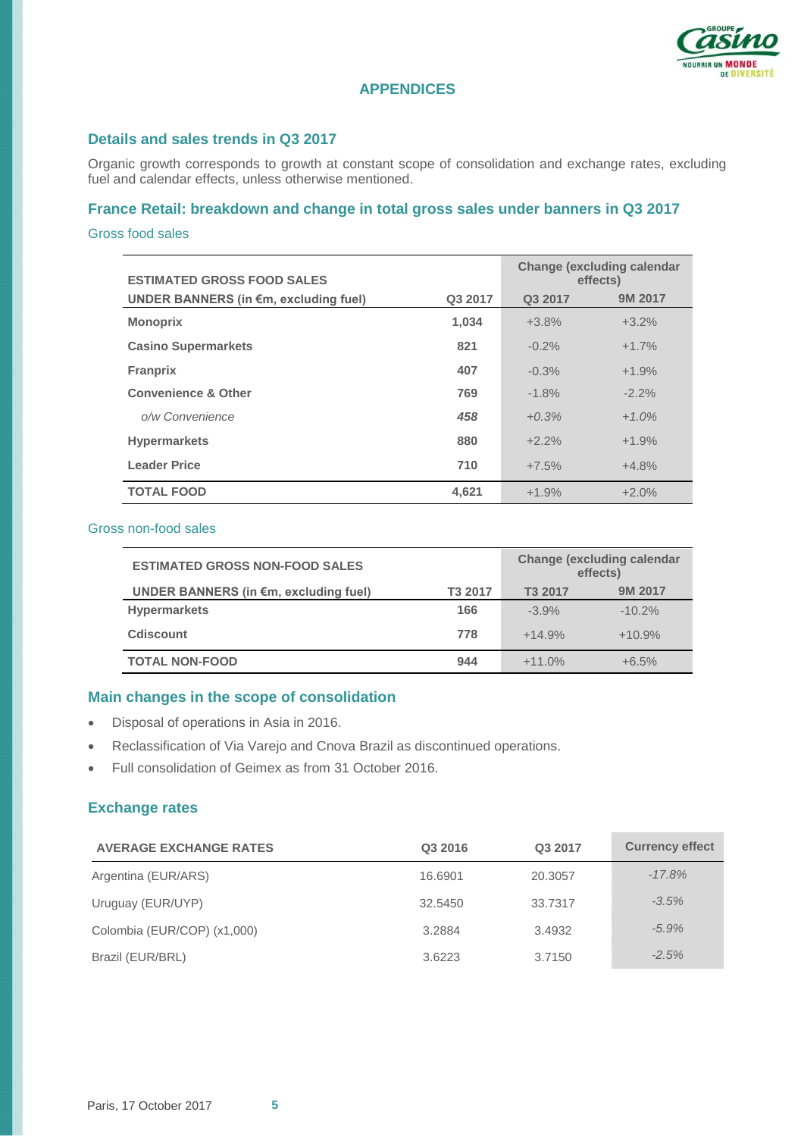

# **APPENDICES**

### **Details and sales trends in Q3 2017**

Organic growth corresponds to growth at constant scope of consolidation and exchange rates, excluding fuel and calendar effects, unless otherwise mentioned.

# **France Retail: breakdown and change in total gross sales under banners in Q3 2017**

#### Gross food sales

| <b>ESTIMATED GROSS FOOD SALES</b>     | <b>Change (excluding calendar</b><br>effects) |          |          |
|---------------------------------------|-----------------------------------------------|----------|----------|
| UNDER BANNERS (in €m, excluding fuel) | Q3 2017                                       | 9M 2017  |          |
| <b>Monoprix</b>                       | 1,034                                         | $+3.8%$  | $+3.2%$  |
| <b>Casino Supermarkets</b>            | 821                                           | $-0.2\%$ | $+1.7%$  |
| <b>Franprix</b>                       | 407                                           | $-0.3%$  | $+1.9%$  |
| <b>Convenience &amp; Other</b>        | 769                                           | $-1.8%$  | $-2.2\%$ |
| o/w Convenience                       | 458                                           | $+0.3%$  | $+1.0%$  |
| <b>Hypermarkets</b>                   | 880                                           | $+2.2%$  | $+1.9%$  |
| <b>Leader Price</b>                   | 710                                           | $+7.5%$  | $+4.8%$  |
| <b>TOTAL FOOD</b>                     | 4.621                                         | $+1.9%$  | $+2.0%$  |

#### Gross non-food sales

| <b>ESTIMATED GROSS NON-FOOD SALES</b>           | <b>Change (excluding calendar</b><br>effects) |          |          |
|-------------------------------------------------|-----------------------------------------------|----------|----------|
| UNDER BANNERS (in $\epsilon$ m, excluding fuel) | T3 2017                                       | T3 2017  | 9M 2017  |
| <b>Hypermarkets</b>                             | 166                                           | $-3.9%$  | $-10.2%$ |
| <b>Cdiscount</b>                                | 778                                           | $+14.9%$ | $+10.9%$ |
| <b>TOTAL NON-FOOD</b>                           | 944                                           | $+11.0%$ | $+6.5%$  |

#### **Main changes in the scope of consolidation**

- Disposal of operations in Asia in 2016.
- Reclassification of Via Varejo and Cnova Brazil as discontinued operations.
- Full consolidation of Geimex as from 31 October 2016.

## **Exchange rates**

| <b>AVERAGE EXCHANGE RATES</b> | Q3 2016 | Q3 2017 | <b>Currency effect</b> |
|-------------------------------|---------|---------|------------------------|
| Argentina (EUR/ARS)           | 16.6901 | 20.3057 | $-17.8%$               |
| Uruguay (EUR/UYP)             | 32.5450 | 33.7317 | $-3.5%$                |
| Colombia (EUR/COP) (x1,000)   | 3.2884  | 3.4932  | $-5.9%$                |
| Brazil (EUR/BRL)              | 3.6223  | 3.7150  | $-2.5%$                |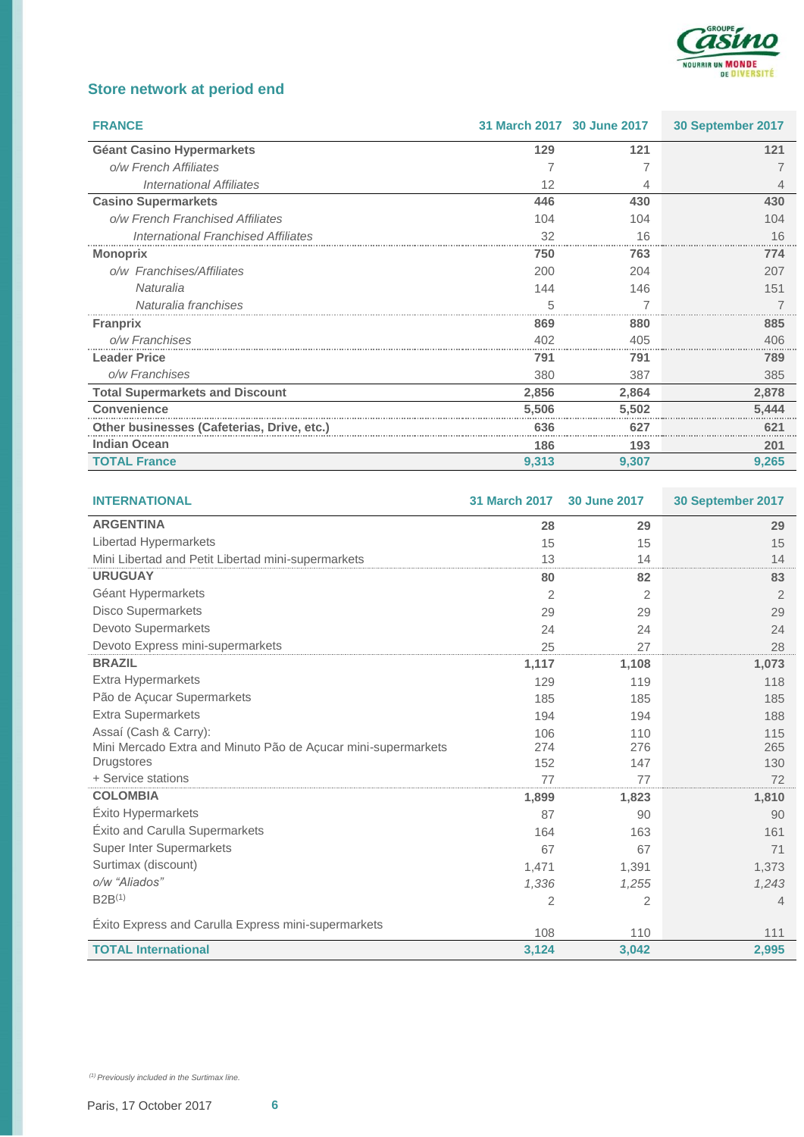

# **Store network at period end**

| <b>FRANCE</b>                              | 31 March 2017 30 June 2017 |       | 30 September 2017 |
|--------------------------------------------|----------------------------|-------|-------------------|
| <b>Géant Casino Hypermarkets</b>           | 129                        | 121   | 121               |
| o/w French Affiliates                      |                            |       |                   |
| International Affiliates                   | 12                         |       |                   |
| <b>Casino Supermarkets</b>                 | 446                        | 430   | 430               |
| o/w French Franchised Affiliates           | 104                        | 104   | 104               |
| International Franchised Affiliates        | 32                         | 16    | 16                |
| <b>Monoprix</b>                            | 750                        | 763   | 774               |
| o/w Franchises/Affiliates                  | 200                        | 204   | 207               |
| Naturalia                                  | 144                        | 146   | 151               |
| Naturalia franchises                       | 'n.                        |       |                   |
| <b>Franprix</b>                            | 869                        | 880   | 885               |
| o/w Franchises                             | 402                        | 405   | 406               |
| <b>Leader Price</b>                        | 791                        | 791   | 789               |
| o/w Franchises                             | 380                        | 387   | 385               |
| <b>Total Supermarkets and Discount</b>     | 2,856                      | 2,864 | 2,878             |
| <b>Convenience</b>                         | 5,506                      | 5,502 | 5,444             |
| Other businesses (Cafeterias, Drive, etc.) | 636                        | 627   | 621               |
| <b>Indian Ocean</b>                        | 186                        | 193   | 201               |
| <b>TOTAL France</b>                        | 9,313                      | 9,307 | 9,265             |

| <b>INTERNATIONAL</b>                                          | <b>31 March 2017</b> | 30 June 2017   | 30 September 2017 |
|---------------------------------------------------------------|----------------------|----------------|-------------------|
| <b>ARGENTINA</b>                                              | 28                   | 29             | 29                |
| Libertad Hypermarkets                                         | 15                   | 15             | 15                |
| Mini Libertad and Petit Libertad mini-supermarkets            | 13                   | 14             | 14                |
| <b>URUGUAY</b>                                                | 80                   | 82             | 83                |
| Géant Hypermarkets                                            | 2                    | 2              | $\overline{2}$    |
| <b>Disco Supermarkets</b>                                     | 29                   | 29             | 29                |
| Devoto Supermarkets                                           | 24                   | 24             | 24                |
| Devoto Express mini-supermarkets                              | 25                   | 27             | 28                |
| <b>BRAZIL</b>                                                 | 1,117                | 1,108          | 1,073             |
| <b>Extra Hypermarkets</b>                                     | 129                  | 119            | 118               |
| Pão de Açucar Supermarkets                                    | 185                  | 185            | 185               |
| <b>Extra Supermarkets</b>                                     | 194                  | 194            | 188               |
| Assaí (Cash & Carry):                                         | 106                  | 110            | 115               |
| Mini Mercado Extra and Minuto Pão de Acucar mini-supermarkets | 274                  | 276            | 265               |
| <b>Drugstores</b>                                             | 152                  | 147            | 130               |
| + Service stations                                            | 77                   | 77             | 72                |
| <b>COLOMBIA</b>                                               | 1,899                | 1,823          | 1,810             |
| <b>Exito Hypermarkets</b>                                     | 87                   | 90             | 90                |
| Éxito and Carulla Supermarkets                                | 164                  | 163            | 161               |
| <b>Super Inter Supermarkets</b>                               | 67                   | 67             | 71                |
| Surtimax (discount)                                           | 1,471                | 1,391          | 1,373             |
| o/w "Aliados"                                                 | 1,336                | 1,255          | 1,243             |
| $B2B^{(1)}$                                                   | 2                    | $\overline{2}$ | 4                 |
| Éxito Express and Carulla Express mini-supermarkets           | 108                  | 110            | 111               |
| <b>TOTAL International</b>                                    | 3,124                | 3,042          | 2,995             |